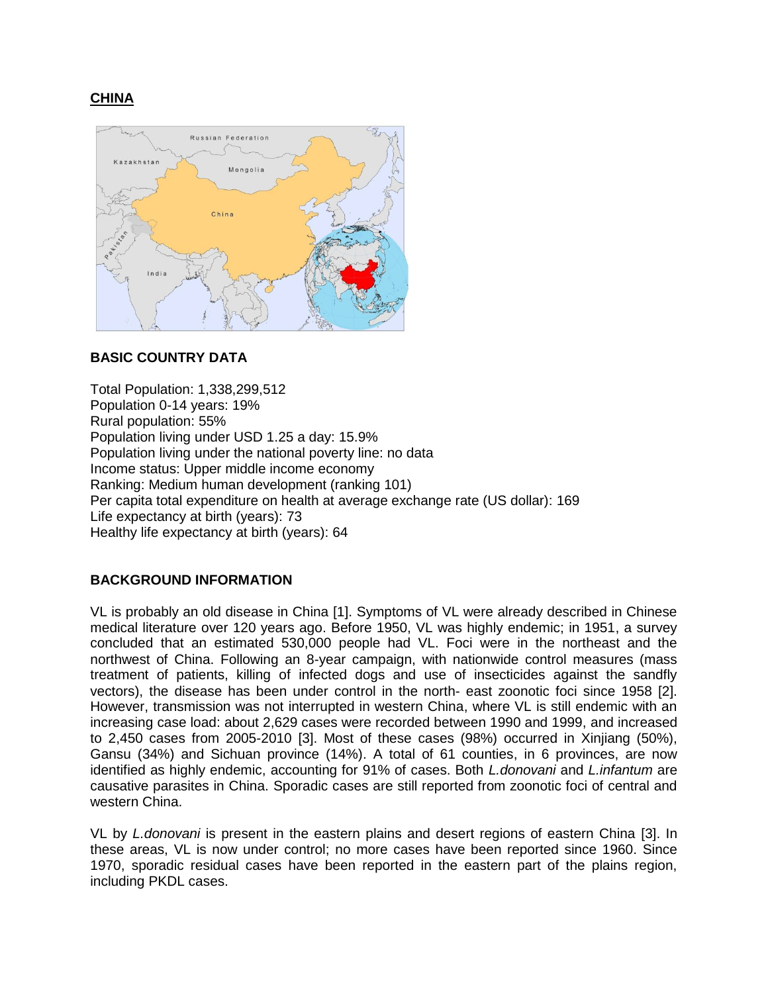# **CHINA**



# **BASIC COUNTRY DATA**

Total Population: 1,338,299,512 Population 0-14 years: 19% Rural population: 55% Population living under USD 1.25 a day: 15.9% Population living under the national poverty line: no data Income status: Upper middle income economy Ranking: Medium human development (ranking 101) Per capita total expenditure on health at average exchange rate (US dollar): 169 Life expectancy at birth (years): 73 Healthy life expectancy at birth (years): 64

# **BACKGROUND INFORMATION**

VL is probably an old disease in China [1]. Symptoms of VL were already described in Chinese medical literature over 120 years ago. Before 1950, VL was highly endemic; in 1951, a survey concluded that an estimated 530,000 people had VL. Foci were in the northeast and the northwest of China. Following an 8-year campaign, with nationwide control measures (mass treatment of patients, killing of infected dogs and use of insecticides against the sandfly vectors), the disease has been under control in the north- east zoonotic foci since 1958 [2]. However, transmission was not interrupted in western China, where VL is still endemic with an increasing case load: about 2,629 cases were recorded between 1990 and 1999, and increased to 2,450 cases from 2005-2010 [3]. Most of these cases (98%) occurred in Xinjiang (50%), Gansu (34%) and Sichuan province (14%). A total of 61 counties, in 6 provinces, are now identified as highly endemic, accounting for 91% of cases. Both *L.donovani* and *L.infantum* are causative parasites in China. Sporadic cases are still reported from zoonotic foci of central and western China.

VL by *L.donovani* is present in the eastern plains and desert regions of eastern China [3]. In these areas, VL is now under control; no more cases have been reported since 1960. Since 1970, sporadic residual cases have been reported in the eastern part of the plains region, including PKDL cases.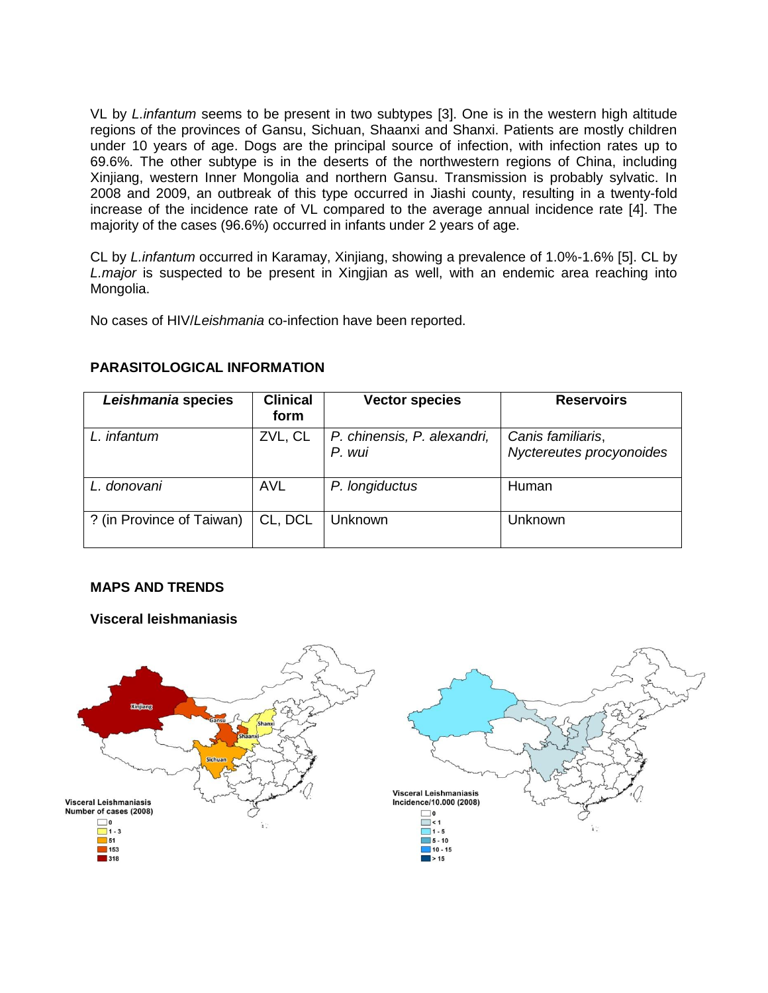VL by *L.infantum* seems to be present in two subtypes [3]. One is in the western high altitude regions of the provinces of Gansu, Sichuan, Shaanxi and Shanxi. Patients are mostly children under 10 years of age. Dogs are the principal source of infection, with infection rates up to 69.6%. The other subtype is in the deserts of the northwestern regions of China, including Xinjiang, western Inner Mongolia and northern Gansu. Transmission is probably sylvatic. In 2008 and 2009, an outbreak of this type occurred in Jiashi county, resulting in a twenty-fold increase of the incidence rate of VL compared to the average annual incidence rate [4]. The majority of the cases (96.6%) occurred in infants under 2 years of age.

CL by *L.infantum* occurred in Karamay, Xinjiang, showing a prevalence of 1.0%-1.6% [5]. CL by *L.major* is suspected to be present in Xingjian as well, with an endemic area reaching into Mongolia.

No cases of HIV/*Leishmania* co-infection have been reported.

| Leishmania species        | <b>Clinical</b><br>form | <b>Vector species</b>                 | <b>Reservoirs</b>                             |
|---------------------------|-------------------------|---------------------------------------|-----------------------------------------------|
| L. infantum               | ZVL, CL                 | P. chinensis, P. alexandri,<br>P. wui | Canis familiaris,<br>Nyctereutes procyonoides |
| L. donovani               | <b>AVL</b>              | P. longiductus                        | Human                                         |
| ? (in Province of Taiwan) | CL, DCL                 | Unknown                               | Unknown                                       |

## **PARASITOLOGICAL INFORMATION**

## **MAPS AND TRENDS**

## **Visceral leishmaniasis**

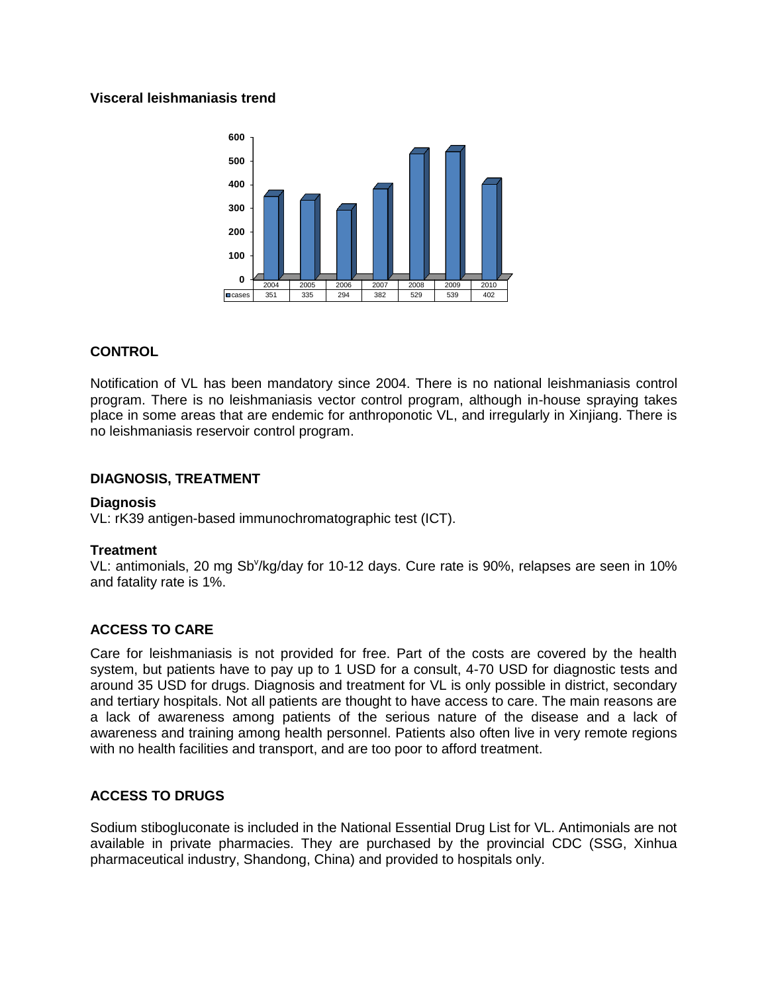### **Visceral leishmaniasis trend**



### **CONTROL**

Notification of VL has been mandatory since 2004. There is no national leishmaniasis control program. There is no leishmaniasis vector control program, although in-house spraying takes place in some areas that are endemic for anthroponotic VL, and irregularly in Xinjiang. There is no leishmaniasis reservoir control program.

### **DIAGNOSIS, TREATMENT**

#### **Diagnosis**

VL: rK39 antigen-based immunochromatographic test (ICT).

#### **Treatment**

VL: antimonials, 20 mg Sb<sup>v</sup>/kg/day for 10-12 days. Cure rate is 90%, relapses are seen in 10% and fatality rate is 1%.

## **ACCESS TO CARE**

Care for leishmaniasis is not provided for free. Part of the costs are covered by the health system, but patients have to pay up to 1 USD for a consult, 4-70 USD for diagnostic tests and around 35 USD for drugs. Diagnosis and treatment for VL is only possible in district, secondary and tertiary hospitals. Not all patients are thought to have access to care. The main reasons are a lack of awareness among patients of the serious nature of the disease and a lack of awareness and training among health personnel. Patients also often live in very remote regions with no health facilities and transport, and are too poor to afford treatment.

#### **ACCESS TO DRUGS**

Sodium stibogluconate is included in the National Essential Drug List for VL. Antimonials are not available in private pharmacies. They are purchased by the provincial CDC (SSG, Xinhua pharmaceutical industry, Shandong, China) and provided to hospitals only.